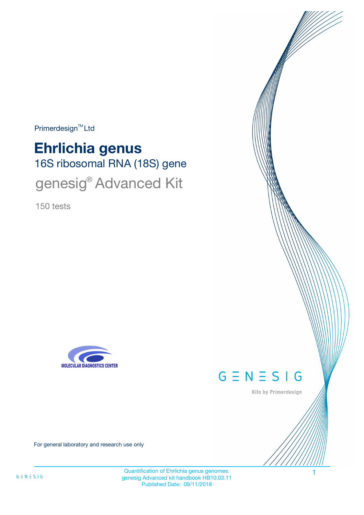Primerdesign<sup>™</sup>Ltd

# 16S ribosomal RNA (18S) gene **Ehrlichia genus** genesig® Advanced Kit

150 tests





Kits by Primerdesign

For general laboratory and research use only

Quantification of Ehrlichia genus genomes. genesig Advanced kit handbook HB10.03.11 Published Date: 09/11/2018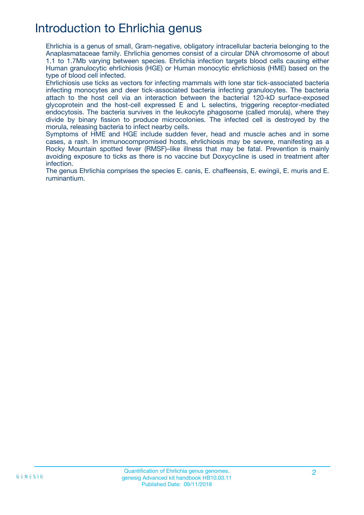## Introduction to Ehrlichia genus

Ehrlichia is a genus of small, Gram-negative, obligatory intracellular bacteria belonging to the Anaplasmataceae family. Ehrlichia genomes consist of a circular DNA chromosome of about 1.1 to 1.7Mb varying between species. Ehrlichia infection targets blood cells causing either Human granulocytic ehrlichiosis (HGE) or Human monocytic ehrlichiosis (HME) based on the type of blood cell infected.

Ehrlichiosis use ticks as vectors for infecting mammals with lone star tick-associated bacteria infecting monocytes and deer tick-associated bacteria infecting granulocytes. The bacteria attach to the host cell via an interaction between the bacterial 120-kD surface-exposed glycoprotein and the host-cell expressed E and L selectins, triggering receptor-mediated endocytosis. The bacteria survives in the leukocyte phagosome (called morula), where they divide by binary fission to produce microcolonies. The infected cell is destroyed by the morula, releasing bacteria to infect nearby cells.

Symptoms of HME and HGE include sudden fever, head and muscle aches and in some cases, a rash. In immunocompromised hosts, ehrlichiosis may be severe, manifesting as a Rocky Mountain spotted fever (RMSF)–like illness that may be fatal. Prevention is mainly avoiding exposure to ticks as there is no vaccine but Doxycycline is used in treatment after infection.

The genus Ehrlichia comprises the species E. canis, E. chaffeensis, E. ewingii, E. muris and E. ruminantium.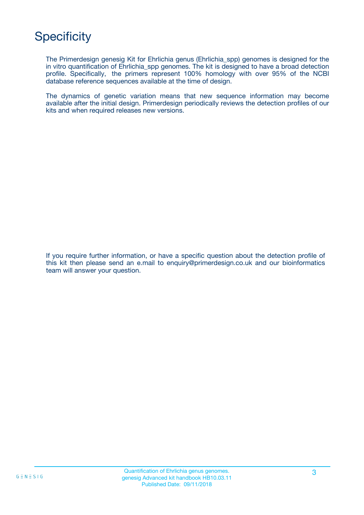## **Specificity**

The Primerdesign genesig Kit for Ehrlichia genus (Ehrlichia\_spp) genomes is designed for the in vitro quantification of Ehrlichia spp genomes. The kit is designed to have a broad detection profile. Specifically, the primers represent 100% homology with over 95% of the NCBI database reference sequences available at the time of design.

The dynamics of genetic variation means that new sequence information may become available after the initial design. Primerdesign periodically reviews the detection profiles of our kits and when required releases new versions.

If you require further information, or have a specific question about the detection profile of this kit then please send an e.mail to enquiry@primerdesign.co.uk and our bioinformatics team will answer your question.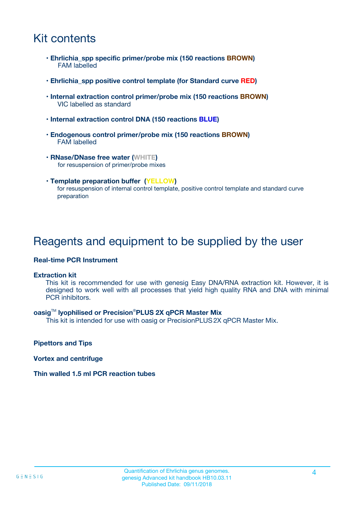## Kit contents

- **Ehrlichia\_spp specific primer/probe mix (150 reactions BROWN)** FAM labelled
- **Ehrlichia\_spp positive control template (for Standard curve RED)**
- **Internal extraction control primer/probe mix (150 reactions BROWN)** VIC labelled as standard
- **Internal extraction control DNA (150 reactions BLUE)**
- **Endogenous control primer/probe mix (150 reactions BROWN)** FAM labelled
- **RNase/DNase free water (WHITE)** for resuspension of primer/probe mixes
- **Template preparation buffer (YELLOW)** for resuspension of internal control template, positive control template and standard curve preparation

### Reagents and equipment to be supplied by the user

#### **Real-time PCR Instrument**

#### **Extraction kit**

This kit is recommended for use with genesig Easy DNA/RNA extraction kit. However, it is designed to work well with all processes that yield high quality RNA and DNA with minimal PCR inhibitors.

#### **oasig**TM **lyophilised or Precision**®**PLUS 2X qPCR Master Mix**

This kit is intended for use with oasig or PrecisionPLUS2X qPCR Master Mix.

**Pipettors and Tips**

**Vortex and centrifuge**

#### **Thin walled 1.5 ml PCR reaction tubes**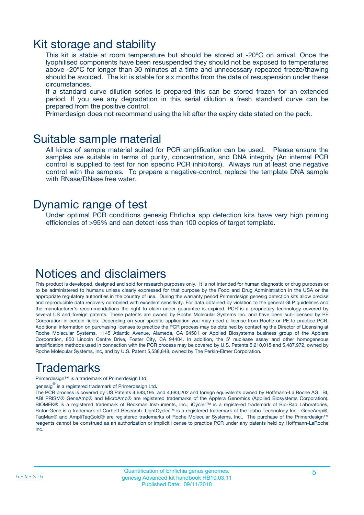### Kit storage and stability

This kit is stable at room temperature but should be stored at -20ºC on arrival. Once the lyophilised components have been resuspended they should not be exposed to temperatures above -20°C for longer than 30 minutes at a time and unnecessary repeated freeze/thawing should be avoided. The kit is stable for six months from the date of resuspension under these circumstances.

If a standard curve dilution series is prepared this can be stored frozen for an extended period. If you see any degradation in this serial dilution a fresh standard curve can be prepared from the positive control.

Primerdesign does not recommend using the kit after the expiry date stated on the pack.

### Suitable sample material

All kinds of sample material suited for PCR amplification can be used. Please ensure the samples are suitable in terms of purity, concentration, and DNA integrity (An internal PCR control is supplied to test for non specific PCR inhibitors). Always run at least one negative control with the samples. To prepare a negative-control, replace the template DNA sample with RNase/DNase free water.

### Dynamic range of test

Under optimal PCR conditions genesig Ehrlichia\_spp detection kits have very high priming efficiencies of >95% and can detect less than 100 copies of target template.

### Notices and disclaimers

This product is developed, designed and sold for research purposes only. It is not intended for human diagnostic or drug purposes or to be administered to humans unless clearly expressed for that purpose by the Food and Drug Administration in the USA or the appropriate regulatory authorities in the country of use. During the warranty period Primerdesign genesig detection kits allow precise and reproducible data recovery combined with excellent sensitivity. For data obtained by violation to the general GLP guidelines and the manufacturer's recommendations the right to claim under guarantee is expired. PCR is a proprietary technology covered by several US and foreign patents. These patents are owned by Roche Molecular Systems Inc. and have been sub-licensed by PE Corporation in certain fields. Depending on your specific application you may need a license from Roche or PE to practice PCR. Additional information on purchasing licenses to practice the PCR process may be obtained by contacting the Director of Licensing at Roche Molecular Systems, 1145 Atlantic Avenue, Alameda, CA 94501 or Applied Biosystems business group of the Applera Corporation, 850 Lincoln Centre Drive, Foster City, CA 94404. In addition, the 5' nuclease assay and other homogeneous amplification methods used in connection with the PCR process may be covered by U.S. Patents 5,210,015 and 5,487,972, owned by Roche Molecular Systems, Inc, and by U.S. Patent 5,538,848, owned by The Perkin-Elmer Corporation.

## Trademarks

Primerdesign™ is a trademark of Primerdesign Ltd.

genesig $^\circledR$  is a registered trademark of Primerdesign Ltd.

The PCR process is covered by US Patents 4,683,195, and 4,683,202 and foreign equivalents owned by Hoffmann-La Roche AG. BI, ABI PRISM® GeneAmp® and MicroAmp® are registered trademarks of the Applera Genomics (Applied Biosystems Corporation). BIOMEK® is a registered trademark of Beckman Instruments, Inc.; iCycler™ is a registered trademark of Bio-Rad Laboratories, Rotor-Gene is a trademark of Corbett Research. LightCycler™ is a registered trademark of the Idaho Technology Inc. GeneAmp®, TaqMan® and AmpliTaqGold® are registered trademarks of Roche Molecular Systems, Inc., The purchase of the Primerdesign™ reagents cannot be construed as an authorization or implicit license to practice PCR under any patents held by Hoffmann-LaRoche Inc.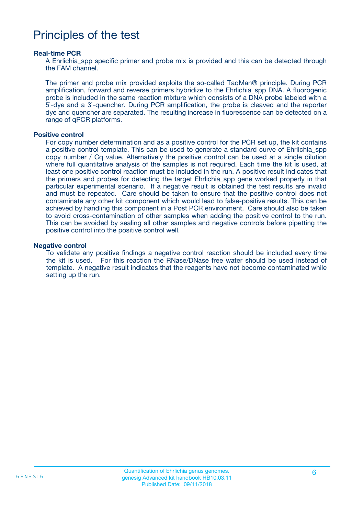### Principles of the test

#### **Real-time PCR**

A Ehrlichia spp specific primer and probe mix is provided and this can be detected through the FAM channel.

The primer and probe mix provided exploits the so-called TaqMan® principle. During PCR amplification, forward and reverse primers hybridize to the Ehrlichia\_spp DNA. A fluorogenic probe is included in the same reaction mixture which consists of a DNA probe labeled with a 5`-dye and a 3`-quencher. During PCR amplification, the probe is cleaved and the reporter dye and quencher are separated. The resulting increase in fluorescence can be detected on a range of qPCR platforms.

#### **Positive control**

For copy number determination and as a positive control for the PCR set up, the kit contains a positive control template. This can be used to generate a standard curve of Ehrlichia\_spp copy number / Cq value. Alternatively the positive control can be used at a single dilution where full quantitative analysis of the samples is not required. Each time the kit is used, at least one positive control reaction must be included in the run. A positive result indicates that the primers and probes for detecting the target Ehrlichia\_spp gene worked properly in that particular experimental scenario. If a negative result is obtained the test results are invalid and must be repeated. Care should be taken to ensure that the positive control does not contaminate any other kit component which would lead to false-positive results. This can be achieved by handling this component in a Post PCR environment. Care should also be taken to avoid cross-contamination of other samples when adding the positive control to the run. This can be avoided by sealing all other samples and negative controls before pipetting the positive control into the positive control well.

#### **Negative control**

To validate any positive findings a negative control reaction should be included every time the kit is used. For this reaction the RNase/DNase free water should be used instead of template. A negative result indicates that the reagents have not become contaminated while setting up the run.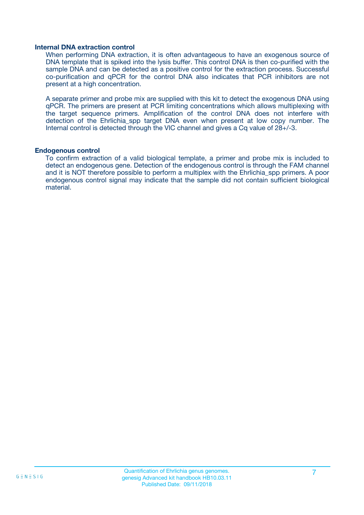#### **Internal DNA extraction control**

When performing DNA extraction, it is often advantageous to have an exogenous source of DNA template that is spiked into the lysis buffer. This control DNA is then co-purified with the sample DNA and can be detected as a positive control for the extraction process. Successful co-purification and qPCR for the control DNA also indicates that PCR inhibitors are not present at a high concentration.

A separate primer and probe mix are supplied with this kit to detect the exogenous DNA using qPCR. The primers are present at PCR limiting concentrations which allows multiplexing with the target sequence primers. Amplification of the control DNA does not interfere with detection of the Ehrlichia spp target DNA even when present at low copy number. The Internal control is detected through the VIC channel and gives a Cq value of 28+/-3.

#### **Endogenous control**

To confirm extraction of a valid biological template, a primer and probe mix is included to detect an endogenous gene. Detection of the endogenous control is through the FAM channel and it is NOT therefore possible to perform a multiplex with the Ehrlichia\_spp primers. A poor endogenous control signal may indicate that the sample did not contain sufficient biological material.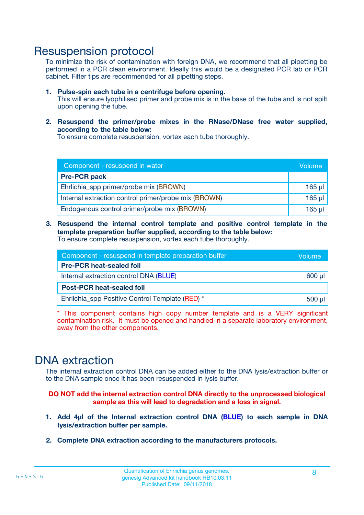### Resuspension protocol

To minimize the risk of contamination with foreign DNA, we recommend that all pipetting be performed in a PCR clean environment. Ideally this would be a designated PCR lab or PCR cabinet. Filter tips are recommended for all pipetting steps.

- **1. Pulse-spin each tube in a centrifuge before opening.** This will ensure lyophilised primer and probe mix is in the base of the tube and is not spilt upon opening the tube.
- **2. Resuspend the primer/probe mixes in the RNase/DNase free water supplied, according to the table below:**

To ensure complete resuspension, vortex each tube thoroughly.

| Component - resuspend in water                       |          |  |
|------------------------------------------------------|----------|--|
| <b>Pre-PCR pack</b>                                  |          |  |
| Ehrlichia_spp primer/probe mix (BROWN)               | $165$ µ  |  |
| Internal extraction control primer/probe mix (BROWN) | $165$ µl |  |
| Endogenous control primer/probe mix (BROWN)          | 165 µl   |  |

**3. Resuspend the internal control template and positive control template in the template preparation buffer supplied, according to the table below:** To ensure complete resuspension, vortex each tube thoroughly.

| Component - resuspend in template preparation buffer |  |  |  |
|------------------------------------------------------|--|--|--|
| <b>Pre-PCR heat-sealed foil</b>                      |  |  |  |
| Internal extraction control DNA (BLUE)               |  |  |  |
| <b>Post-PCR heat-sealed foil</b>                     |  |  |  |
| Ehrlichia spp Positive Control Template (RED) *      |  |  |  |

\* This component contains high copy number template and is a VERY significant contamination risk. It must be opened and handled in a separate laboratory environment, away from the other components.

### DNA extraction

The internal extraction control DNA can be added either to the DNA lysis/extraction buffer or to the DNA sample once it has been resuspended in lysis buffer.

**DO NOT add the internal extraction control DNA directly to the unprocessed biological sample as this will lead to degradation and a loss in signal.**

- **1. Add 4µl of the Internal extraction control DNA (BLUE) to each sample in DNA lysis/extraction buffer per sample.**
- **2. Complete DNA extraction according to the manufacturers protocols.**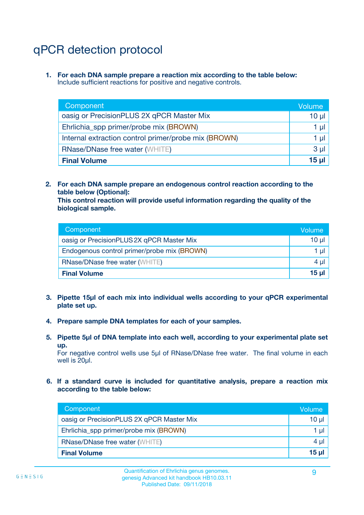## qPCR detection protocol

**1. For each DNA sample prepare a reaction mix according to the table below:** Include sufficient reactions for positive and negative controls.

| Component                                            | Volume   |
|------------------------------------------------------|----------|
| oasig or PrecisionPLUS 2X qPCR Master Mix            | 10 $\mu$ |
| Ehrlichia_spp primer/probe mix (BROWN)               | 1 µl     |
| Internal extraction control primer/probe mix (BROWN) | 1 µl     |
| <b>RNase/DNase free water (WHITE)</b>                | $3 \mu$  |
| <b>Final Volume</b>                                  | 15 µl    |

**2. For each DNA sample prepare an endogenous control reaction according to the table below (Optional):**

**This control reaction will provide useful information regarding the quality of the biological sample.**

| Component                                   | Volume   |
|---------------------------------------------|----------|
| oasig or PrecisionPLUS 2X qPCR Master Mix   | $10 \mu$ |
| Endogenous control primer/probe mix (BROWN) | 1 µI     |
| <b>RNase/DNase free water (WHITE)</b>       | $4 \mu$  |
| <b>Final Volume</b>                         | 15 µl    |

- **3. Pipette 15µl of each mix into individual wells according to your qPCR experimental plate set up.**
- **4. Prepare sample DNA templates for each of your samples.**
- **5. Pipette 5µl of DNA template into each well, according to your experimental plate set up.**

For negative control wells use 5µl of RNase/DNase free water. The final volume in each well is 20ul.

**6. If a standard curve is included for quantitative analysis, prepare a reaction mix according to the table below:**

| Component                                 | Volume  |
|-------------------------------------------|---------|
| oasig or PrecisionPLUS 2X qPCR Master Mix | 10 µl   |
| Ehrlichia_spp primer/probe mix (BROWN)    | 1 µI    |
| <b>RNase/DNase free water (WHITE)</b>     | $4 \mu$ |
| <b>Final Volume</b>                       | 15 µl   |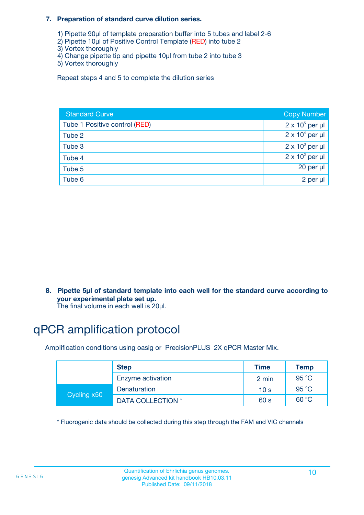#### **7. Preparation of standard curve dilution series.**

- 1) Pipette 90µl of template preparation buffer into 5 tubes and label 2-6
- 2) Pipette 10µl of Positive Control Template (RED) into tube 2
- 3) Vortex thoroughly
- 4) Change pipette tip and pipette 10µl from tube 2 into tube 3
- 5) Vortex thoroughly

Repeat steps 4 and 5 to complete the dilution series

| <b>Standard Curve</b>         | <b>Copy Number</b>     |
|-------------------------------|------------------------|
| Tube 1 Positive control (RED) | $2 \times 10^5$ per µl |
| Tube 2                        | $2 \times 10^4$ per µl |
| Tube 3                        | $2 \times 10^3$ per µl |
| Tube 4                        | $2 \times 10^2$ per µl |
| Tube 5                        | 20 per µl              |
| Tube 6                        | 2 per µl               |

**8. Pipette 5µl of standard template into each well for the standard curve according to your experimental plate set up.**

#### The final volume in each well is 20µl.

## qPCR amplification protocol

Amplification conditions using oasig or PrecisionPLUS 2X qPCR Master Mix.

|             | <b>Step</b>       | <b>Time</b>     | Temp    |
|-------------|-------------------|-----------------|---------|
|             | Enzyme activation | 2 min           | 95 °C   |
| Cycling x50 | Denaturation      | 10 <sub>s</sub> | 95 $°C$ |
|             | DATA COLLECTION * | 60 s            | 60 °C   |

\* Fluorogenic data should be collected during this step through the FAM and VIC channels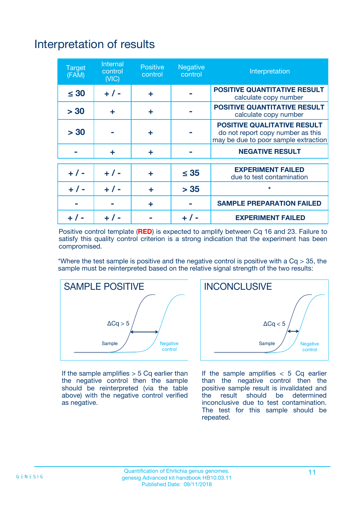## Interpretation of results

| <b>Target</b><br>(FAM) | <b>Internal</b><br>control<br>(NIC) | <b>Positive</b><br>control | <b>Negative</b><br>control | Interpretation                                                                                                  |
|------------------------|-------------------------------------|----------------------------|----------------------------|-----------------------------------------------------------------------------------------------------------------|
| $\leq 30$              | $+ 1 -$                             | ÷                          |                            | <b>POSITIVE QUANTITATIVE RESULT</b><br>calculate copy number                                                    |
| > 30                   | ٠                                   | ÷                          |                            | <b>POSITIVE QUANTITATIVE RESULT</b><br>calculate copy number                                                    |
| > 30                   |                                     | ÷                          |                            | <b>POSITIVE QUALITATIVE RESULT</b><br>do not report copy number as this<br>may be due to poor sample extraction |
|                        | ÷                                   | ÷                          |                            | <b>NEGATIVE RESULT</b>                                                                                          |
| $+ 1 -$                | $+ 1 -$                             | ÷                          | $\leq$ 35                  | <b>EXPERIMENT FAILED</b><br>due to test contamination                                                           |
| $+$ / -                | $+ 1 -$                             | ÷                          | > 35                       | $\star$                                                                                                         |
|                        |                                     | ÷                          |                            | <b>SAMPLE PREPARATION FAILED</b>                                                                                |
|                        |                                     |                            | $+$ /                      | <b>EXPERIMENT FAILED</b>                                                                                        |

Positive control template (**RED**) is expected to amplify between Cq 16 and 23. Failure to satisfy this quality control criterion is a strong indication that the experiment has been compromised.

\*Where the test sample is positive and the negative control is positive with a  $Ca > 35$ , the sample must be reinterpreted based on the relative signal strength of the two results:



If the sample amplifies  $> 5$  Cq earlier than the negative control then the sample should be reinterpreted (via the table above) with the negative control verified as negative.



If the sample amplifies  $< 5$  Cq earlier than the negative control then the positive sample result is invalidated and<br>the result should be determined  $the$  result should be inconclusive due to test contamination. The test for this sample should be repeated.